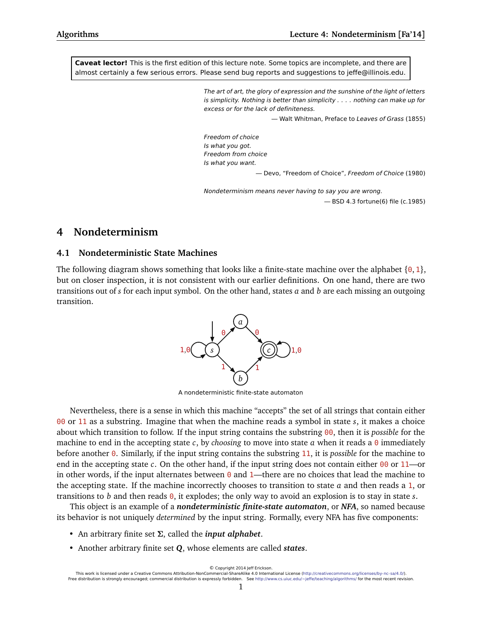**Caveat lector!** This is the first edition of this lecture note. Some topics are incomplete, and there are almost certainly a few serious errors. Please send bug reports and suggestions to jeffe@illinois.edu.

> The art of art, the glory of expression and the sunshine of the light of letters is simplicity. Nothing is better than simplicity . . . . nothing can make up for excess or for the lack of definiteness.

> > — Walt Whitman, Preface to Leaves of Grass (1855)

Freedom of choice Is what you got. Freedom from choice Is what you want.

— Devo, "Freedom of Choice", Freedom of Choice (1980)

Nondeterminism means never having to say you are wrong. — BSD 4.3 fortune(6) file (c.1985)

# **4 Nondeterminism**

## **4.1 Nondeterministic State Machines**

The following diagram shows something that looks like a finite-state machine over the alphabet  $\{0, 1\}$ , but on closer inspection, it is not consistent with our earlier definitions. On one hand, there are two transitions out of *s* for each input symbol. On the other hand, states *a* and *b* are each missing an outgoing transition.



A nondeterministic finite-state automaton

Nevertheless, there is a sense in which this machine "accepts" the set of all strings that contain either 00 or 11 as a substring. Imagine that when the machine reads a symbol in state *s*, it makes a choice about which transition to follow. If the input string contains the substring 00, then it is *possible* for the machine to end in the accepting state *c*, by *choosing* to move into state *a* when it reads a 0 immediately before another 0. Similarly, if the input string contains the substring 11, it is *possible* for the machine to end in the accepting state *c*. On the other hand, if the input string does not contain either 00 or 11—or in other words, if the input alternates between  $\theta$  and 1—there are no choices that lead the machine to the accepting state. If the machine incorrectly chooses to transition to state *a* and then reads a 1, or transitions to *b* and then reads 0, it explodes; the only way to avoid an explosion is to stay in state *s*.

This object is an example of a *nondeterministic finite-state automaton*, or *NFA*, so named because its behavior is not uniquely *determined* by the input string. Formally, every NFA has five components:

- An arbitrary finite set *Σ*, called the *input alphabet*.
- Another arbitrary finite set *Q*, whose elements are called *states*.

This work is licensed under a Creative Commons Attribution-NonCommercial-ShareAlike 4.0 International License [\(http://creativecommons.org/licenses/by-nc-sa/4.0/\)](http://creativecommons.org/licenses/by-nc-sa/4.0/). Free distribution is strongly encouraged; commercial distribution is expressly forbidden. See <http://www.cs.uiuc.edu/~jeffe/teaching/algorithms/> for the most recent revision.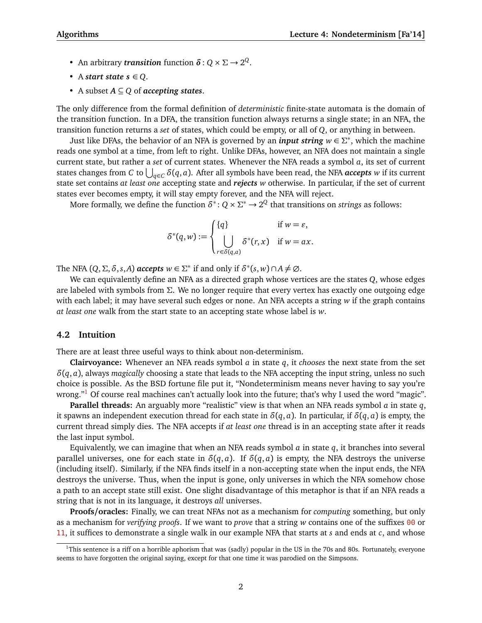- An arbitrary *transition* function  $\delta$  :  $Q \times \Sigma \rightarrow 2^Q$ .
- A *start state*  $s \in Q$ .
- A subset *A* ⊆ *Q* of *accepting states*.

The only difference from the formal definition of *deterministic* finite-state automata is the domain of the transition function. In a DFA, the transition function always returns a single state; in an NFA, the transition function returns a *set* of states, which could be empty, or all of *Q*, or anything in between.

Just like DFAs, the behavior of an NFA is governed by an *input string w* ∈ *Σ* ∗ , which the machine reads one symbol at a time, from left to right. Unlike DFAs, however, an NFA does not maintain a single current state, but rather a *set* of current states. Whenever the NFA reads a symbol *a*, its set of current states changes from *C* to  $\bigcup_{q\in C}\delta(q,a).$  After all symbols have been read, the NFA *accepts w* if its current state set contains *at least one* accepting state and *rejects w* otherwise. In particular, if the set of current states ever becomes empty, it will stay empty forever, and the NFA will reject.

More formally, we define the function  $\delta^*$  :  $Q \times \Sigma^* \to 2^Q$  that transitions on *strings* as follows:

$$
\delta^*(q, w) := \begin{cases} \{q\} & \text{if } w = \varepsilon, \\ \bigcup_{r \in \delta(q, a)} \delta^*(r, x) & \text{if } w = ax. \end{cases}
$$

The NFA  $(Q, \Sigma, \delta, s, A)$  *accepts*  $w \in \Sigma^*$  if and only if  $\delta^*(s, w) \cap A \neq \emptyset$ .

We can equivalently define an NFA as a directed graph whose vertices are the states *Q*, whose edges are labeled with symbols from *Σ*. We no longer require that every vertex has exactly one outgoing edge with each label; it may have several such edges or none. An NFA accepts a string *w* if the graph contains *at least one* walk from the start state to an accepting state whose label is *w*.

### **4.2 Intuition**

There are at least three useful ways to think about non-determinism.

**Clairvoyance:** Whenever an NFA reads symbol *a* in state *q*, it *chooses* the next state from the set *δ*(*q*, *a*), always *magically* choosing a state that leads to the NFA accepting the input string, unless no such choice is possible. As the BSD fortune file put it, "Nondeterminism means never having to say you're wrong."<sup>[1](#page-1-0)</sup> Of course real machines can't actually look into the future; that's why I used the word "magic".

**Parallel threads:** An arguably more "realistic" view is that when an NFA reads symbol *a* in state *q*, it spawns an independent execution thread for each state in *δ*(*q*, *a*). In particular, if *δ*(*q*, *a*) is empty, the current thread simply dies. The NFA accepts if *at least one* thread is in an accepting state after it reads the last input symbol.

Equivalently, we can imagine that when an NFA reads symbol *a* in state *q*, it branches into several parallel universes, one for each state in  $\delta(q, a)$ . If  $\delta(q, a)$  is empty, the NFA destroys the universe (including itself). Similarly, if the NFA finds itself in a non-accepting state when the input ends, the NFA destroys the universe. Thus, when the input is gone, only universes in which the NFA somehow chose a path to an accept state still exist. One slight disadvantage of this metaphor is that if an NFA reads a string that is not in its language, it destroys *all* universes.

**Proofs/oracles:** Finally, we can treat NFAs not as a mechanism for *computing* something, but only as a mechanism for *verifying proofs*. If we want to *prove* that a string *w* contains one of the suffixes 00 or 11, it suffices to demonstrate a single walk in our example NFA that starts at *s* and ends at *c*, and whose

<span id="page-1-0"></span> $1$ This sentence is a riff on a horrible aphorism that was (sadly) popular in the US in the 70s and 80s. Fortunately, everyone seems to have forgotten the original saying, except for that one time it was parodied on the Simpsons.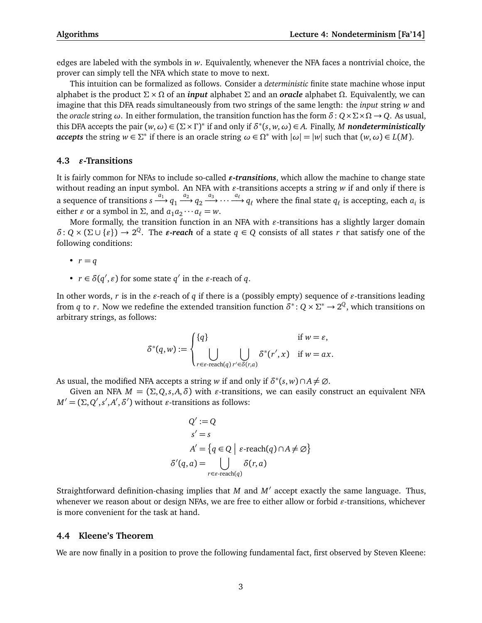edges are labeled with the symbols in *w*. Equivalently, whenever the NFA faces a nontrivial choice, the prover can simply tell the NFA which state to move to next.

This intuition can be formalized as follows. Consider a *deterministic* finite state machine whose input alphabet is the product *Σ* × *Ω* of an *input* alphabet *Σ* and an *oracle* alphabet *Ω*. Equivalently, we can imagine that this DFA reads simultaneously from two strings of the same length: the *input* string *w* and the *oracle* string *ω*. In either formulation, the transition function has the form *δ*: *Q*×*Σ*×*Ω* → *Q*. As usual, this DFA accepts the pair  $(w, \omega) \in (\Sigma \times \Gamma)^*$  if and only if  $\delta^*(s, w, \omega) \in A$ . Finally, *M* nondeterministically *accepts* the string  $w \in \Sigma^*$  if there is an oracle string  $\omega \in \Omega^*$  with  $|\omega| = |w|$  such that  $(w, \omega) \in L(M)$ .

## **4.3**  $\varepsilon$ -Transitions

It is fairly common for NFAs to include so-called  $\varepsilon$ -transitions, which allow the machine to change state without reading an input symbol. An NFA with  $\varepsilon$ -transitions accepts a string  $w$  if and only if there is a sequence of transitions  $s \xrightarrow{a_1} q_1 \xrightarrow{a_2} q_2 \xrightarrow{a_3} \cdots \xrightarrow{a_\ell} q_\ell$  where the final state  $q_\ell$  is accepting, each  $a_i$  is either *ε* or a symbol in  $\Sigma$ , and  $a_1 a_2 \cdots a_\ell = w$ .

More formally, the transition function in an NFA with  $\varepsilon$ -transitions has a slightly larger domain  $\delta$ :  $Q \times (\Sigma \cup \{\varepsilon\}) \to 2^Q$ . The  $\varepsilon$ *-reach* of a state  $q \in Q$  consists of all states *r* that satisfy one of the following conditions:

- $r = q$
- $r \in \delta(q', \varepsilon)$  for some state  $q'$  in the  $\varepsilon$ -reach of  $q$ .

In other words,  $r$  is in the  $\varepsilon$ -reach of  $q$  if there is a (possibly empty) sequence of  $\varepsilon$ -transitions leading from *q* to *r*. Now we redefine the extended transition function  $\delta^*$ :  $Q \times \Sigma^* \to 2^Q$ , which transitions on arbitrary strings, as follows:

$$
\delta^*(q, w) := \begin{cases} \{q\} & \text{if } w = \varepsilon, \\ \bigcup_{r \in \varepsilon \text{-reach}(q) \ r' \in \delta(r, a)} \delta^*(r', x) & \text{if } w = ax. \end{cases}
$$

As usual, the modified NFA accepts a string *w* if and only if  $\delta^*(s, w) \cap A \neq \emptyset$ .

Given an NFA  $M = (\Sigma, Q, s, A, \delta)$  with *ε*-transitions, we can easily construct an equivalent NFA  $M' = (\Sigma, Q', s', A', \delta')$  without *ε*-transitions as follows:

$$
Q' := Q
$$
  
\n
$$
s' = s
$$
  
\n
$$
A' = \{q \in Q \mid \varepsilon\text{-reach}(q) \cap A \neq \emptyset\}
$$
  
\n
$$
\delta'(q, a) = \bigcup_{r \in \varepsilon\text{-reach}(q)} \delta(r, a)
$$

Straightforward definition-chasing implies that *M* and *M'* accept exactly the same language. Thus, whenever we reason about or design NFAs, we are free to either allow or forbid  $\varepsilon$ -transitions, whichever is more convenient for the task at hand.

## **4.4 Kleene's Theorem**

We are now finally in a position to prove the following fundamental fact, first observed by Steven Kleene: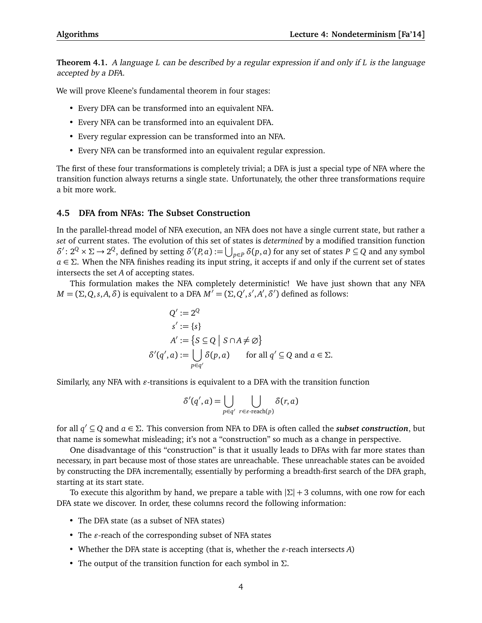**Theorem 4.1.** A language *L* can be described by a regular expression if and only if *L* is the language accepted by a DFA.

We will prove Kleene's fundamental theorem in four stages:

- Every DFA can be transformed into an equivalent NFA.
- Every NFA can be transformed into an equivalent DFA.
- Every regular expression can be transformed into an NFA.
- Every NFA can be transformed into an equivalent regular expression.

The first of these four transformations is completely trivial; a DFA is just a special type of NFA where the transition function always returns a single state. Unfortunately, the other three transformations require a bit more work.

## **4.5 DFA from NFAs: The Subset Construction**

In the parallel-thread model of NFA execution, an NFA does not have a single current state, but rather a *set* of current states. The evolution of this set of states is *determined* by a modified transition function  $\delta'$ : 2<sup>*Q*</sup> × Σ → 2<sup>*Q*</sup>, defined by setting *δ*'(*P*, *a*) :=  $\bigcup_{p \in P}$  *δ*(*p*, *a*) for any set of states *P* ⊆ *Q* and any symbol *a* ∈ *Σ*. When the NFA finishes reading its input string, it accepts if and only if the current set of states intersects the set *A* of accepting states.

This formulation makes the NFA completely deterministic! We have just shown that any NFA *M* = (Σ, *Q*, *s*,*A*, *δ*) is equivalent to a DFA  $M^7$  = (Σ, *Q'*, *s'*, *A'*, *δ'*) defined as follows:

$$
Q' := 2^Q
$$
  
\n
$$
s' := \{s\}
$$
  
\n
$$
A' := \{S \subseteq Q \mid S \cap A \neq \emptyset\}
$$
  
\n
$$
\delta'(q', a) := \bigcup_{p \in q'} \delta(p, a) \quad \text{for all } q' \subseteq Q \text{ and } a \in \Sigma.
$$

Similarly, any NFA with  $\varepsilon$ -transitions is equivalent to a DFA with the transition function

$$
\delta'(q',a) = \bigcup_{p \in q'} \bigcup_{r \in \varepsilon\text{-reach}(p)} \delta(r,a)
$$

for all *q* <sup>0</sup> ⊆ *Q* and *a* ∈ *Σ*. This conversion from NFA to DFA is often called the *subset construction*, but that name is somewhat misleading; it's not a "construction" so much as a change in perspective.

One disadvantage of this "construction" is that it usually leads to DFAs with far more states than necessary, in part because most of those states are unreachable. These unreachable states can be avoided by constructing the DFA incrementally, essentially by performing a breadth-first search of the DFA graph, starting at its start state.

To execute this algorithm by hand, we prepare a table with |*Σ*| + 3 columns, with one row for each DFA state we discover. In order, these columns record the following information:

- The DFA state (as a subset of NFA states)
- The  $\varepsilon$ -reach of the corresponding subset of NFA states
- Whether the DFA state is accepting (that is, whether the  $\varepsilon$ -reach intersects  $A$ )
- The output of the transition function for each symbol in *Σ*.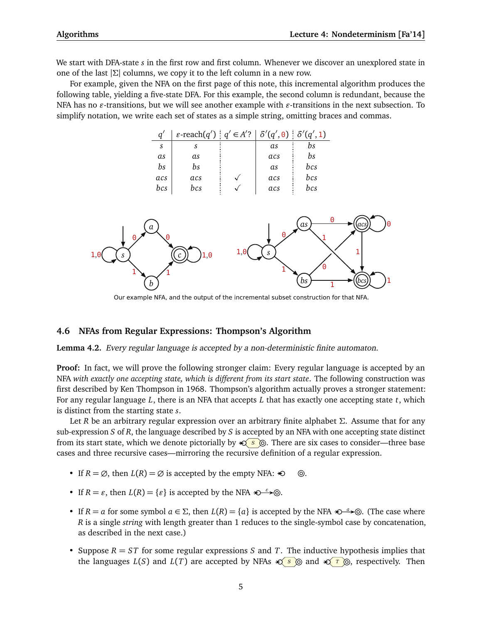We start with DFA-state *s* in the first row and first column. Whenever we discover an unexplored state in one of the last |*Σ*| columns, we copy it to the left column in a new row.

For example, given the NFA on the first page of this note, this incremental algorithm produces the following table, yielding a five-state DFA. For this example, the second column is redundant, because the NFA has no  $\varepsilon$ -transitions, but we will see another example with  $\varepsilon$ -transitions in the next subsection. To simplify notation, we write each set of states as a simple string, omitting braces and commas.



Our example NFA, and the output of the incremental subset construction for that NFA.

## **4.6 NFAs from Regular Expressions: Thompson's Algorithm**

**Lemma 4.2.** Every regular language is accepted by a non-deterministic finite automaton.

**Proof:** In fact, we will prove the following stronger claim: Every regular language is accepted by an NFA *with exactly one accepting state, which is different from its start state*. The following construction was first described by Ken Thompson in 1968. Thompson's algorithm actually proves a stronger statement: For any regular language *L*, there is an NFA that accepts *L* that has exactly one accepting state *t*, which is distinct from the starting state *s*.

Let *R* be an arbitrary regular expression over an arbitrary finite alphabet *Σ*. Assume that for any sub-expression *S* of *R*, the language described by *S* is accepted by an NFA with one accepting state distinct from its start state, which we denote pictorially by *S* . There are six cases to consider—three base cases and three recursive cases—mirroring the recursive definition of a regular expression.

- If  $R = \emptyset$ , then  $L(R) = \emptyset$  is accepted by the empty NFA:  $\infty$   $\odot$ .
- If  $R = \varepsilon$ , then  $L(R) = \{\varepsilon\}$  is accepted by the NFA  $\infty \rightarrow \infty$ .
- If  $R = a$  for some symbol  $a \in \Sigma$ , then  $L(R) = \{a\}$  is accepted by the NFA  $\bigstar \rightarrow \infty$ . (The case where *R* is a single *string* with length greater than 1 reduces to the single-symbol case by concatenation, as described in the next case.)
- Suppose *R* = *ST* for some regular expressions *S* and *T*. The inductive hypothesis implies that the languages  $L(S)$  and  $L(T)$  are accepted by NFAs  $\mathcal{L}(S)$  and  $\mathcal{L}(T)$   $\odot$ , respectively. Then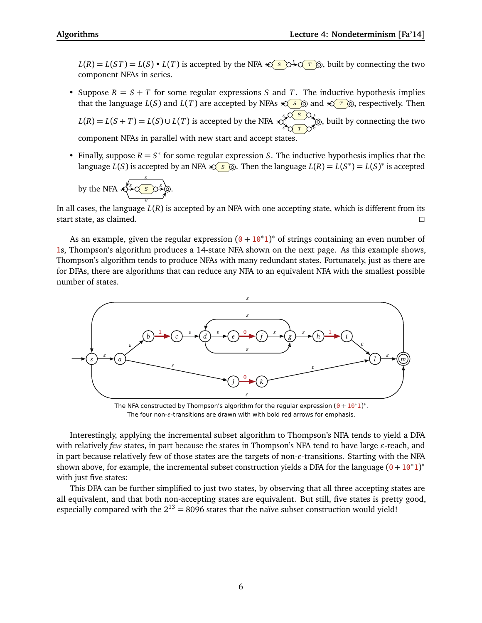$L(R) = L(ST) = L(S) \cdot L(T)$  is accepted by the NFA  $\bigotimes_{S} S^S$   $\bigcirc \stackrel{\epsilon}{\rightarrow} S^T$   $\bigcirc$ , built by connecting the two component NFAs in series.

• Suppose  $R = S + T$  for some regular expressions *S* and *T*. The inductive hypothesis implies that the language *L*(*S*) and *L*(*T*) are accepted by NFAs  $\triangleleft s$  ⊚ and  $\triangleleft r$  ⊚, respectively. Then

 $L(R) = L(S + T) = L(S) \cup L(T)$  is accepted by the NFA *S T ε ε ε ε* , built by connecting the two component NFAs in parallel with new start and accept states.

• Finally, suppose  $R = S^*$  for some regular expression *S*. The inductive hypothesis implies that the language  $L(S)$  is accepted by an NFA  $\bigotimes$  **S**  $\circledcirc$ . Then the language  $L(R) = L(S^*) = L(S)^*$  is accepted

by the NFA 
$$
\leftarrow
$$
  $\leftarrow$   $\leftarrow$   $\leftarrow$   $\leftarrow$   $\leftarrow$   $\leftarrow$   $\leftarrow$   $\leftarrow$   $\leftarrow$   $\leftarrow$   $\leftarrow$   $\leftarrow$   $\leftarrow$   $\leftarrow$   $\leftarrow$   $\leftarrow$   $\leftarrow$   $\leftarrow$   $\leftarrow$   $\leftarrow$   $\leftarrow$   $\leftarrow$   $\leftarrow$   $\leftarrow$   $\leftarrow$   $\leftarrow$   $\leftarrow$   $\leftarrow$   $\leftarrow$   $\leftarrow$   $\leftarrow$   $\leftarrow$   $\leftarrow$   $\leftarrow$   $\leftarrow$   $\leftarrow$   $\leftarrow$   $\leftarrow$   $\leftarrow$   $\leftarrow$   $\leftarrow$   $\leftarrow$   $\leftarrow$   $\leftarrow$   $\leftarrow$   $\leftarrow$   $\leftarrow$   $\leftarrow$   $\leftarrow$   $\leftarrow$   $\leftarrow$   $\leftarrow$   $\leftarrow$   $\leftarrow$   $\leftarrow$   $\leftarrow$   $\leftarrow$   $\leftarrow$   $\leftarrow$   $\leftarrow$   $\leftarrow$   $\leftarrow$   $\leftarrow$   $\leftarrow$   $\leftarrow$   $\leftarrow$   $\leftarrow$   $\leftarrow$   $\leftarrow$   $\leftarrow$   $\leftarrow$   $\leftarrow$   $\leftarrow$   $\leftarrow$   $\leftarrow$   $\leftarrow$   $\leftarrow$   $\leftarrow$   $\leftarrow$   $\leftarrow$   $\leftarrow$   $\leftarrow$   $\leftarrow$   $\leftarrow$   $\leftarrow$   $\leftarrow$   $\leftarrow$   $\leftarrow$   $\leftarrow$   $\leftarrow$   $\leftarrow$   $\leftarrow$   $\leftarrow$   $\leftarrow$  <

In all cases, the language  $L(R)$  is accepted by an NFA with one accepting state, which is different from its start state, as claimed.  $\square$ 

As an example, given the regular expression  $(0 + 10^*1)^*$  of strings containing an even number of 1s, Thompson's algorithm produces a 14-state NFA shown on the next page. As this example shows, Thompson's algorithm tends to produce NFAs with many redundant states. Fortunately, just as there are for DFAs, there are algorithms that can reduce any NFA to an equivalent NFA with the smallest possible number of states.



The NFA constructed by Thompson's algorithm for the regular expression  $(0 + 10^*1)^*$ . The four non- $\varepsilon$ -transitions are drawn with with bold red arrows for emphasis.

Interestingly, applying the incremental subset algorithm to Thompson's NFA tends to yield a DFA with relatively *few* states, in part because the states in Thompson's NFA tend to have large  $\varepsilon$ -reach, and in part because relatively few of those states are the targets of non- $\varepsilon$ -transitions. Starting with the NFA shown above, for example, the incremental subset construction yields a DFA for the language  $(0 + 10^*1)^*$ with just five states:

This DFA can be further simplified to just two states, by observing that all three accepting states are all equivalent, and that both non-accepting states are equivalent. But still, five states is pretty good, especially compared with the  $2^{13} = 8096$  states that the naïve subset construction would yield!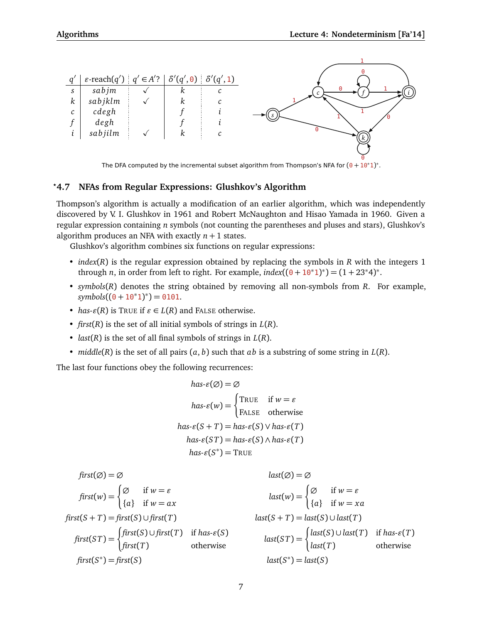

The DFA computed by the incremental subset algorithm from Thompson's NFA for  $(0+10^*1)^*$ .

# *?***4.7 NFAs from Regular Expressions: Glushkov's Algorithm**

Thompson's algorithm is actually a modification of an earlier algorithm, which was independently discovered by V. I. Glushkov in 1961 and Robert McNaughton and Hisao Yamada in 1960. Given a regular expression containing *n* symbols (not counting the parentheses and pluses and stars), Glushkov's algorithm produces an NFA with exactly  $n + 1$  states.

Glushkov's algorithm combines six functions on regular expressions:

- *index*(*R*) is the regular expression obtained by replacing the symbols in *R* with the integers 1 through *n*, in order from left to right. For example,  $index((0 + 10^*1)^*) = (1 + 23^*4)^*$ .
- *symbols*(*R*) denotes the string obtained by removing all non-symbols from *R*. For example,  $symbols((0+10*1)*)=0101.$
- *has-* $\varepsilon(R)$  is TRUE if  $\varepsilon \in L(R)$  and FALSE otherwise.
- *first*(*R*) is the set of all initial symbols of strings in *L*(*R*).
- *last*(*R*) is the set of all final symbols of strings in *L*(*R*).
- *middle*(*R*) is the set of all pairs (*a*, *b*) such that *ab* is a substring of some string in *L*(*R*).

The last four functions obey the following recurrences:

$$
has-\varepsilon(\varnothing) = \varnothing
$$
  
\n
$$
has-\varepsilon(w) = \begin{cases} \text{TRUE} & \text{if } w = \varepsilon \\ \text{FALSE} & \text{otherwise} \end{cases}
$$
  
\n
$$
has-\varepsilon(S+T) = has-\varepsilon(S) \lor has-\varepsilon(T)
$$
  
\n
$$
has-\varepsilon(ST) = has-\varepsilon(S) \land has-\varepsilon(T)
$$
  
\n
$$
has-\varepsilon(S^*) = \text{TRUE}
$$

$$
first(\emptyset) = \emptyset
$$
  
\n
$$
first(w) = \begin{cases} \emptyset & \text{if } w = \varepsilon \\ \{a\} & \text{if } w = ax \end{cases}
$$
  
\n
$$
first(S+T) = first(S) \cup first(T)
$$
  
\n
$$
first(ST) = \begin{cases} first(S) \cup first(T) & \text{if } has -\varepsilon(S) \\ first(T) & \text{otherwise} \end{cases}
$$
  
\n
$$
first(S^*) = first(S)
$$
  
\n
$$
first(S^*) = first(S)
$$
  
\n
$$
last(S^*) = last(S)
$$
  
\n
$$
last(S^*) = last(S)
$$
  
\n
$$
last(S^*) = last(S)
$$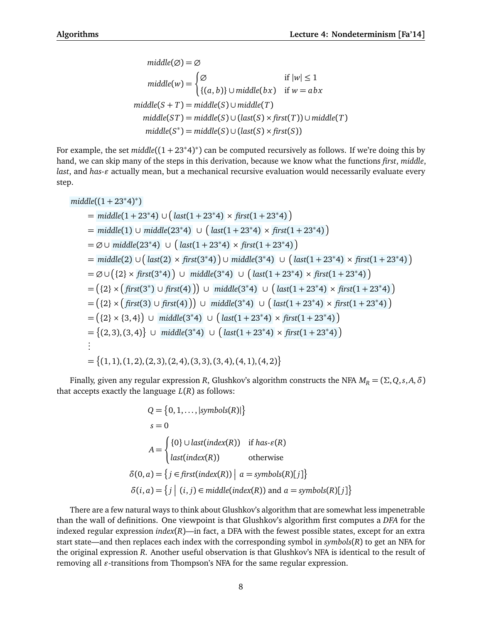$$
middle(\emptyset) = \emptyset
$$
  
\n
$$
middle(w) = \begin{cases} \emptyset & \text{if } |w| \le 1 \\ \{(a, b)\} \cup middle(bx) & \text{if } w = abx \end{cases}
$$
  
\n
$$
middle(S + T) = middle(S) \cup middle(T)
$$
  
\n
$$
middle(ST) = middle(S) \cup (last(S) \times first(T)) \cup middle(T)
$$
  
\n
$$
middle(S^*) = middle(S) \cup (last(S) \times first(S))
$$

For example, the set *middle*((<sup>1</sup> <sup>+</sup> <sup>23</sup>∗4) ∗ ) can be computed recursively as follows. If we're doing this by hand, we can skip many of the steps in this derivation, because we know what the functions *first*, *middle*, *last*, and *has-ε* actually mean, but a mechanical recursive evaluation would necessarily evaluate every step.

$$
middle((1 + 23^*4)^*)
$$
\n= middle(1 + 23^\*4) \cup (last(1 + 23^\*4) \times first(1 + 23^\*4))\n= middle(1) \cup middle(23^\*4) \cup (last(1 + 23^\*4) \times first(1 + 23^\*4))\n= \emptyset \cup middle(23^\*4) \cup (last(1 + 23^\*4) \times first(1 + 23^\*4))\n= middle(2) \cup (last(2) \times first(3^\*4)) \cup middle(3^\*4) \cup (last(1 + 23^\*4) \times first(1 + 23^\*4))\n= \emptyset \cup (\{2\} \times first(3^\*4)) \cup middle(3^\*4) \cup (last(1 + 23^\*4) \times first(1 + 23^\*4))\n= (\{2\} \times (first(3^\*) \cup first(4))) \cup middle(3^\*4) \cup (last(1 + 23^\*4) \times first(1 + 23^\*4))\n= (\{2\} \times (first(3) \cup first(4))) \cup middle(3^\*4) \cup (last(1 + 23^\*4) \times first(1 + 23^\*4))\n= (\{2\} \times \{3,4\}) \cup middle(3^\*4) \cup (last(1 + 23^\*4) \times first(1 + 23^\*4))\n= \{(2,3),(3,4)\} \cup middle(3^\*4) \cup (last(1 + 23^\*4) \times first(1 + 23^\*4))\n= \{(2,3),(3,4)\} \cup middle(3^\*4) \cup (last(1 + 23^\*4) \times first(1 + 23^\*4))\n= \{(1,1),(1,2),(2,3),(2,4),(3,3),(3,4),(4,1),(4,2)\n

Finally, given any regular expression *R*, Glushkov's algorithm constructs the NFA  $M_R = (\Sigma, Q, s, A, \delta)$ that accepts exactly the language  $L(R)$  as follows:

$$
Q = \{0, 1, ..., |symbols(R)|\}
$$
  
\n
$$
s = 0
$$
  
\n
$$
A = \begin{cases} \{0\} \cup last(index(R)) & \text{if has-}\varepsilon(R) \\ last(index(R)) & \text{otherwise} \end{cases}
$$
  
\n
$$
\delta(0, a) = \{j \in first(index(R)) | a = symbols(R)[j] \}
$$
  
\n
$$
\delta(i, a) = \{j | (i, j) \in middle(index(R)) \text{ and } a = symbols(R)[j] \}
$$

There are a few natural ways to think about Glushkov's algorithm that are somewhat less impenetrable than the wall of definitions. One viewpoint is that Glushkov's algorithm first computes a *DFA* for the indexed regular expression *index*(*R*)—in fact, a DFA with the fewest possible states, except for an extra start state—and then replaces each index with the corresponding symbol in *symbols*(*R*) to get an NFA for the original expression *R*. Another useful observation is that Glushkov's NFA is identical to the result of removing all  $\varepsilon$ -transitions from Thompson's NFA for the same regular expression.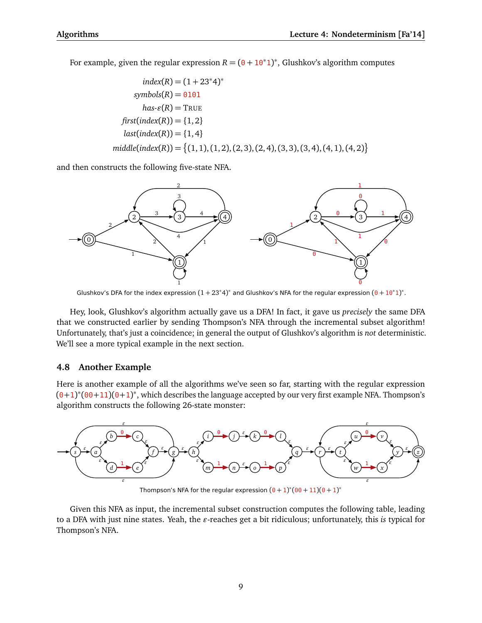For example, given the regular expression  $R = (0 + 10^*1)^*$ , Glushkov's algorithm computes

$$
index(R) = (1 + 23^*4)^*
$$
  
\n
$$
symbols(R) = 0101
$$
  
\n
$$
has \varepsilon(R) = \text{TRUE}
$$
  
\n
$$
first(index(R)) = \{1, 2\}
$$
  
\n
$$
last(index(R)) = \{1, 4\}
$$
  
\n
$$
middle( index(R)) = \{(1, 1), (1, 2), (2, 3), (2, 4), (3, 3), (3, 4), (4, 1), (4, 2)\}
$$

and then constructs the following five-state NFA.



Glushkov's DFA for the index expression  $(1+23^*4)^*$  and Glushkov's NFA for the regular expression  $(0+10^*1)^*$ .

Hey, look, Glushkov's algorithm actually gave us a DFA! In fact, it gave us *precisely* the same DFA that we constructed earlier by sending Thompson's NFA through the incremental subset algorithm! Unfortunately, that's just a coincidence; in general the output of Glushkov's algorithm is *not* deterministic. We'll see a more typical example in the next section.

## **4.8 Another Example**

Here is another example of all the algorithms we've seen so far, starting with the regular expression  $(0+1)^*(00+11)(0+1)^*$ , which describes the language accepted by our very first example NFA. Thompson's algorithm constructs the following 26-state monster:



Thompson's NFA for the regular expression  $(0+1)^*(00+11)(0+1)^*$ 

Given this NFA as input, the incremental subset construction computes the following table, leading to a DFA with just nine states. Yeah, the  $\varepsilon$ -reaches get a bit ridiculous; unfortunately, this *is* typical for Thompson's NFA.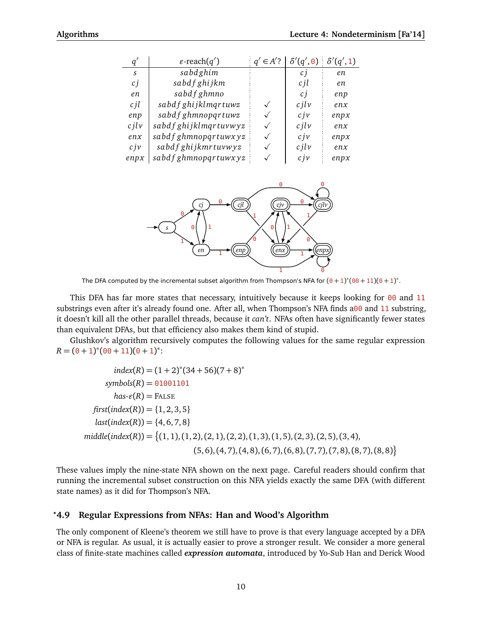| Ч                | $\varepsilon$ -reach $(q')$ | $\in$ A'? | $\delta'(q',0) \mid \delta'(q',1)$ |      |
|------------------|-----------------------------|-----------|------------------------------------|------|
| S.               | sabdghim                    |           | C İ                                | en   |
| c j              | sabdf ghijkm                |           | c jl                               | en   |
| en               | sabdf ghmno                 |           | c j                                | enp  |
| cil              | sabdf ghijklmqrtuwz         |           | $c$ <i>ilv</i>                     | enx  |
| enp              | sabd f ghmnopqrtuwz         |           | c <sub>j</sub> v                   | enpx |
| $c$ <i>ilv</i>   | sabdf ghijklmqrtuvwyz       |           | $c$ <i>ilv</i>                     | enx  |
| enx              | sabdf ghmnopqrtuwxyz        |           | c <sub>j</sub> v                   | enpx |
| c <sub>j</sub> v | sabdf ghijkmrtuvwyz         |           | $c$ <i>ilv</i>                     | enx  |
| enpx             | sabdf ghmnopqrtuwxyz        |           | c j v                              | enpx |



The DFA computed by the incremental subset algorithm from Thompson's NFA for  $(0+1)^*(00+11)(0+1)^*$ .

This DFA has far more states that necessary, intuitively because it keeps looking for  $00$  and 11 substrings even after it's already found one. After all, when Thompson's NFA finds a00 and 11 substring, it doesn't kill all the other parallel threads, because it *can't*. NFAs often have significantly fewer states than equivalent DFAs, but that efficiency also makes them kind of stupid.

Glushkov's algorithm recursively computes the following values for the same regular expression  $R = (\theta + 1)^*(\theta + \theta + 11)(\theta + 1)^*$ :

 $index(R) = (1 + 2)^*(34 + 56)(7 + 8)^*$  $symbols(R) = 01001101$  $has\text{-}\mathcal{E}(R) = \text{FALSE}$  $first(index(R)) = \{1, 2, 3, 5\}$  $last(index(R)) = \{4, 6, 7, 8\}$ *middle*(*index*(*R*)) = (1, 1),(1, 2),(2, 1),(2, 2),(1, 3),(1, 5),(2, 3),(2, 5),(3, 4),  $(5, 6), (4, 7), (4, 8), (6, 7), (6, 8), (7, 7), (7, 8), (8, 7), (8, 8)\}$ 

These values imply the nine-state NFA shown on the next page. Careful readers should confirm that running the incremental subset construction on this NFA yields exactly the same DFA (with different state names) as it did for Thompson's NFA.

### *?***4.9 Regular Expressions from NFAs: Han and Wood's Algorithm**

The only component of Kleene's theorem we still have to prove is that every language accepted by a DFA or NFA is regular. As usual, it is actually easier to prove a stronger result. We consider a more general class of finite-state machines called *expression automata*, introduced by Yo-Sub Han and Derick Wood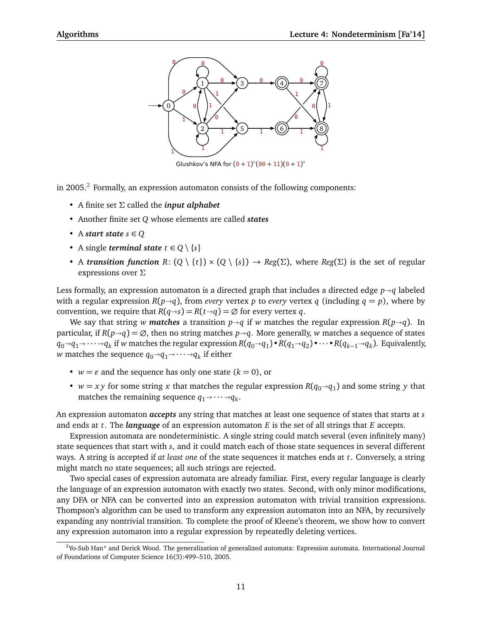

Glushkov's NFA for  $(0 + 1)^*(00 + 11)(0 + 1)^*$ 

in [2](#page-10-0)005. $^2$  Formally, an expression automaton consists of the following components:

- A finite set *Σ* called the *input alphabet*
- Another finite set *Q* whose elements are called *states*
- A *start state*  $s \in Q$
- A single *terminal state*  $t \in Q \setminus \{s\}$
- A *transition function*  $R: (Q \setminus \{t\}) \times (Q \setminus \{s\}) \to Reg(\Sigma)$ , where  $Reg(\Sigma)$  is the set of regular expressions over *Σ*

Less formally, an expression automaton is a directed graph that includes a directed edge  $p \rightarrow q$  labeled with a regular expression  $R(p\rightarrow q)$ , from *every* vertex p to *every* vertex q (including  $q = p$ ), where by convention, we require that  $R(q \rightarrow s) = R(t \rightarrow q) = \emptyset$  for every vertex *q*.

We say that string *w* matches a transition  $p \rightarrow q$  if *w* matches the regular expression  $R(p \rightarrow q)$ . In particular, if  $R(p \rightarrow q) = \emptyset$ , then no string matches  $p \rightarrow q$ . More generally, *w* matches a sequence of states  $q_0 \rightarrow q_1 \rightarrow \cdots \rightarrow q_k$  if *w* matches the regular expression  $R(q_0 \rightarrow q_1) \bullet R(q_1 \rightarrow q_2) \bullet \cdots \bullet R(q_{k-1} \rightarrow q_k)$ . Equivalently, *w* matches the sequence  $q_0 \rightarrow q_1 \rightarrow \cdots \rightarrow q_k$  if either

- $w = \varepsilon$  and the sequence has only one state  $(k = 0)$ , or
- *w* = *xy* for some string *x* that matches the regular expression  $R(q_0 \rightarrow q_1)$  and some string *y* that matches the remaining sequence *g*  $\rightarrow$   $\rightarrow$  *g*. matches the remaining sequence  $q_1 \rightarrow \cdots \rightarrow q_k$ .

An expression automaton *accepts* any string that matches at least one sequence of states that starts at *s* and ends at *t*. The *language* of an expression automaton *E* is the set of all strings that *E* accepts.

Expression automata are nondeterministic. A single string could match several (even infinitely many) state sequences that start with *s*, and it could match each of those state sequences in several different ways. A string is accepted if *at least one* of the state sequences it matches ends at *t*. Conversely, a string might match *no* state sequences; all such strings are rejected.

Two special cases of expression automata are already familiar. First, every regular language is clearly the language of an expression automaton with exactly two states. Second, with only minor modifications, any DFA or NFA can be converted into an expression automaton with trivial transition expressions. Thompson's algorithm can be used to transform any expression automaton into an NFA, by recursively expanding any nontrivial transition. To complete the proof of Kleene's theorem, we show how to convert any expression automaton into a regular expression by repeatedly deleting vertices.

<span id="page-10-0"></span> $2$ Yo-Sub Han\* and Derick Wood. The generalization of generalized automata: Expression automata. International Journal of Foundations of Computer Science 16(3):499–510, 2005.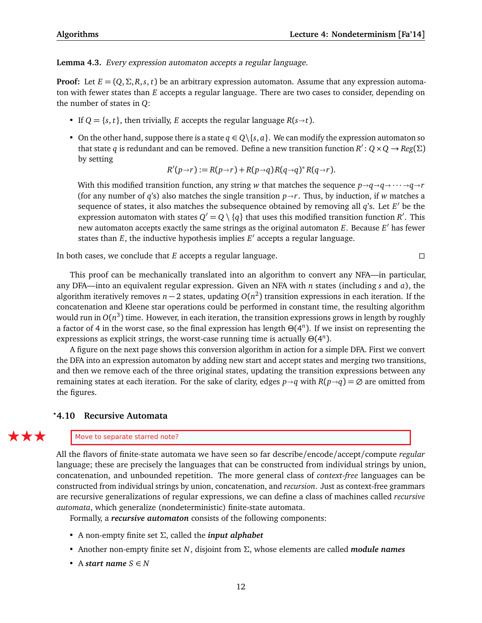**Lemma 4.3.** Every expression automaton accepts a regular language.

**Proof:** Let  $E = (Q, \Sigma, R, s, t)$  be an arbitrary expression automaton. Assume that any expression automaton with fewer states than *E* accepts a regular language. There are two cases to consider, depending on the number of states in *Q*:

- If  $Q = \{s, t\}$ , then trivially, *E* accepts the regular language  $R(s \rightarrow t)$ .
- On the other hand, suppose there is a state  $q \in Q \{s, a\}$ . We can modify the expression automaton so that state *q* is redundant and can be removed. Define a new transition function  $R' : Q \times Q \rightarrow Reg(\Sigma)$ by setting

$$
R'(p\rightarrow r):=R(p\rightarrow r)+R(p\rightarrow q)R(q\rightarrow q)^*R(q\rightarrow r).
$$

With this modified transition function, any string *w* that matches the sequence  $p \rightarrow q \rightarrow q \rightarrow \cdots \rightarrow q \rightarrow r$ (for any number of *q*'s) also matches the single transition  $p \rightarrow r$ . Thus, by induction, if *w* matches a sequence of states, it also matches the subsequence obtained by removing all  $q$ 's. Let  $E'$  be the expression automaton with states  $Q' = Q \setminus \{q\}$  that uses this modified transition function *R'*. This new automaton accepts exactly the same strings as the original automaton *E*. Because *E'* has fewer states than  $E$ , the inductive hypothesis implies  $E'$  accepts a regular language.

In both cases, we conclude that *E* accepts a regular language.

This proof can be mechanically translated into an algorithm to convert any NFA—in particular, any DFA—into an equivalent regular expression. Given an NFA with *n* states (including *s* and *a*), the algorithm iteratively removes *n* − 2 states, updating *O*(*n* 2 ) transition expressions in each iteration. If the concatenation and Kleene star operations could be performed in constant time, the resulting algorithm would run in  $O(n^3)$  time. However, in each iteration, the transition expressions grows in length by roughly a factor of 4 in the worst case, so the final expression has length *Θ*(4 *n* ). If we insist on representing the expressions as explicit strings, the worst-case running time is actually *Θ*(4 *n* ).

A figure on the next page shows this conversion algorithm in action for a simple DFA. First we convert the DFA into an expression automaton by adding new start and accept states and merging two transitions, and then we remove each of the three original states, updating the transition expressions between any remaining states at each iteration. For the sake of clarity, edges  $p \rightarrow q$  with  $R(p \rightarrow q) = \emptyset$  are omitted from the figures.

# **4.10 Recursive Automata** *?*

#### $\mathbf{F}$  Move to separate starred note?

All the flavors of finite-state automata we have seen so far describe/encode/accept/compute *regular* language; these are precisely the languages that can be constructed from individual strings by union, concatenation, and unbounded repetition. The more general class of *context-free* languages can be constructed from individual strings by union, concatenation, and *recursion*. Just as context-free grammars are recursive generalizations of regular expressions, we can define a class of machines called *recursive automata*, which generalize (nondeterministic) finite-state automata.

Formally, a *recursive automaton* consists of the following components:

- A non-empty finite set *Σ*, called the *input alphabet*
- Another non-empty finite set *N*, disjoint from *Σ*, whose elements are called *module names*
- A *start name*  $S \in N$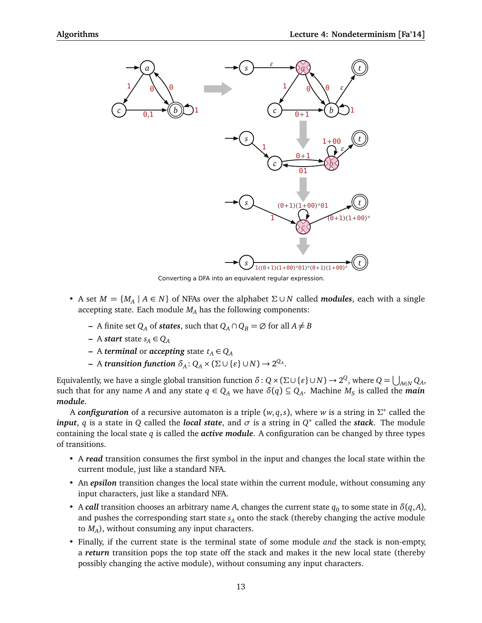

Converting a DFA into an equivalent regular expression.

- A set  $M = \{M_A | A \in N\}$  of NFAs over the alphabet  $\Sigma \cup N$  called *modules*, each with a single accepting state. Each module  $M_A$  has the following components:
	- **−** A finite set  $Q_A$  of *states*, such that  $Q_A \cap Q_B = \emptyset$  for all  $A \neq B$
	- **–** A *start* state *s<sup>A</sup>* ∈ *Q<sup>A</sup>*
	- **−** A *terminal* or *accepting* state  $t_A$  ∈  $Q_A$
	- $-$  A *transition function*  $\delta_A$ :  $Q_A \times (\Sigma \cup \{\varepsilon\} \cup N) \rightarrow 2^{Q_A}$ .

Equivalently, we have a single global transition function  $\delta$  :  $Q$  ×  $(\Sigma \cup \{\varepsilon\} \cup N)$   $\to$   $2^Q$ , where  $Q = \bigcup_{A \in N} Q_A$ , such that for any name *A* and any state  $q \in Q_A$  we have  $\delta(q) \subseteq Q_A$ . Machine  $M_S$  is called the *main module*.

A *configuration* of a recursive automaton is a triple (*w*, *q*,*s*), where *w* is a string in *Σ* ∗ called the *input*, *q* is a state in *Q* called the *local state*, and *σ* is a string in *Q*<sup>\*</sup> called the *stack*. The module containing the local state *q* is called the *active module*. A configuration can be changed by three types of transitions.

- A *read* transition consumes the first symbol in the input and changes the local state within the current module, just like a standard NFA.
- An *epsilon* transition changes the local state within the current module, without consuming any input characters, just like a standard NFA.
- A *call* transition chooses an arbitrary name *A*, changes the current state  $q_0$  to some state in  $\delta(q, A)$ , and pushes the corresponding start state *s<sup>A</sup>* onto the stack (thereby changing the active module to *M<sup>A</sup>* ), without consuming any input characters.
- Finally, if the current state is the terminal state of some module *and* the stack is non-empty, a *return* transition pops the top state off the stack and makes it the new local state (thereby possibly changing the active module), without consuming any input characters.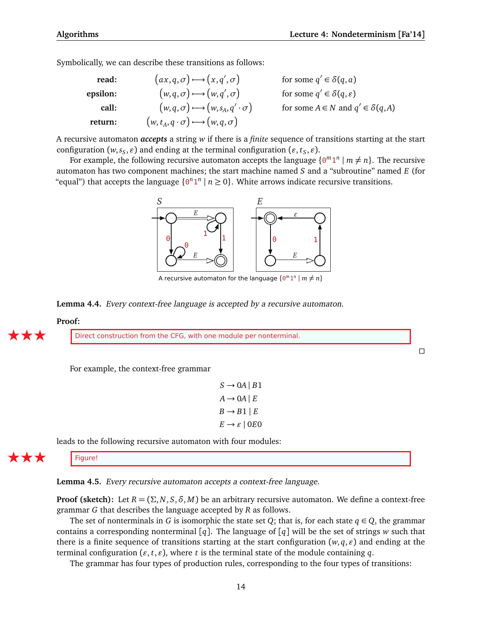$\Box$ 

Symbolically, we can describe these transitions as follows:

| read:    | $(ax,q,\sigma) \rightarrow (x,q',\sigma)$              | for some $q' \in \delta(q, a)$               |
|----------|--------------------------------------------------------|----------------------------------------------|
| epsilon: | $(w, q, \sigma) \rightarrow (w, q', \sigma)$           | for some $q' \in \delta(q, \varepsilon)$     |
| call:    | $(w, q, \sigma) \rightarrow (w, s_A, q' \cdot \sigma)$ | for some $A \in N$ and $q' \in \delta(q, A)$ |
| return:  | $(w, t_A, q \cdot \sigma) \rightarrow (w, q, \sigma)$  |                                              |

A recursive automaton *accepts* a string *w* if there is a *finite* sequence of transitions starting at the start configuration ( $w, s_S, \varepsilon$ ) and ending at the terminal configuration ( $\varepsilon, t_S, \varepsilon$ ).

For example, the following recursive automaton accepts the language  $\{0^m1^n \mid m \neq n\}$ . The recursive automaton has two component machines; the start machine named *S* and a "subroutine" named *E* (for "equal") that accepts the language  $\{0^n 1^n \mid n \ge 0\}$ . White arrows indicate recursive transitions.



A recursive automaton for the language  $\{ \Theta^m 1^n \mid m \neq n \}$ 

**Lemma 4.4.** Every context-free language is accepted by a recursive automaton.

#### **Proof:**

Direct construction from the CFG, with one module per nonterminal.

For example, the context-free grammar

 $S \rightarrow 0A \mid B1$  $A \rightarrow 0A \mid E$  $B \rightarrow B1 \mid E$  $E \rightarrow \varepsilon$  | 0*E*<sup>0</sup>

leads to the following recursive automaton with four modules:

Figure!

**Lemma 4.5.** Every recursive automaton accepts a context-free language.

**Proof (sketch):** Let  $R = (\Sigma, N, S, \delta, M)$  be an arbitrary recursive automaton. We define a context-free grammar *G* that describes the language accepted by *R* as follows.

The set of nonterminals in *G* is isomorphic the state set *Q*; that is, for each state  $q \in Q$ , the grammar contains a corresponding nonterminal [*q*]. The language of [*q*] will be the set of strings *w* such that there is a finite sequence of transitions starting at the start configuration  $(w, q, \varepsilon)$  and ending at the terminal configuration ( $\varepsilon$ ,  $t$ ,  $\varepsilon$ ), where  $t$  is the terminal state of the module containing  $q$ .

The grammar has four types of production rules, corresponding to the four types of transitions: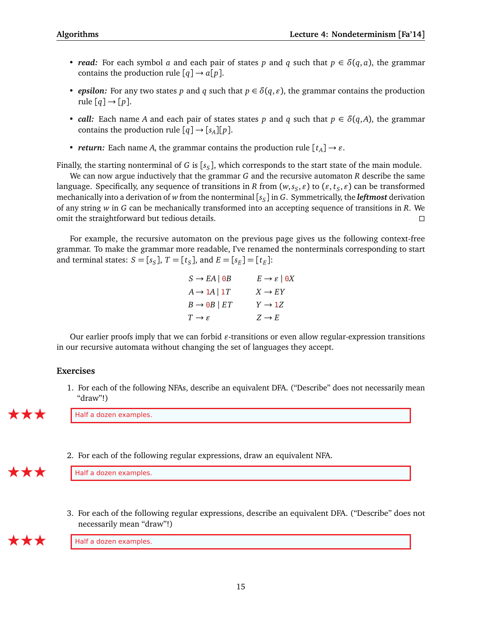- *read:* For each symbol *a* and each pair of states *p* and *q* such that  $p \in \delta(q, a)$ , the grammar contains the production rule  $[q] \rightarrow a[p]$ .
- *epsilon:* For any two states *p* and *q* such that  $p \in \delta(q, \varepsilon)$ , the grammar contains the production rule  $[q] \rightarrow [p]$ .
- *call:* Each name *A* and each pair of states states *p* and *q* such that  $p \in \delta(q, A)$ , the grammar contains the production rule  $[q] \rightarrow [s_A][p]$ .
- *return:* Each name *A*, the grammar contains the production rule  $[t_A] \rightarrow \varepsilon$ .

Finally, the starting nonterminal of *G* is [*s<sup>S</sup>* ], which corresponds to the start state of the main module.

We can now argue inductively that the grammar *G* and the recursive automaton *R* describe the same language. Specifically, any sequence of transitions in *R* from  $(w, s_S, \varepsilon)$  to  $(\varepsilon, t_S, \varepsilon)$  can be transformed mechanically into a derivation of *w* from the nonterminal [*s<sup>S</sup>* ] in *G*. Symmetrically, the *leftmost* derivation of any string *w* in *G* can be mechanically transformed into an accepting sequence of transitions in *R*. We omit the straightforward but tedious details.

For example, the recursive automaton on the previous page gives us the following context-free grammar. To make the grammar more readable, I've renamed the nonterminals corresponding to start and terminal states:  $S = [s_S]$ ,  $T = [t_S]$ , and  $E = [s_E] = [t_E]$ :

| $S \rightarrow EA   \Theta B$    | $E \rightarrow \varepsilon \mid \Theta X$ |
|----------------------------------|-------------------------------------------|
| $A \rightarrow 1A   1T$          | $X \rightarrow EY$                        |
| $B \rightarrow \Theta B \mid ET$ | $Y \rightarrow 1Z$                        |
| $T \rightarrow \varepsilon$      | $Z \rightarrow E$                         |

Our earlier proofs imply that we can forbid  $\varepsilon$ -transitions or even allow regular-expression transitions in our recursive automata without changing the set of languages they accept.

# **Exercises**

1. For each of the following NFAs, describe an equivalent DFA. ("Describe" does not necessarily mean "draw"!)

Half a dozen examples.

2. For each of the following regular expressions, draw an equivalent NFA.

 $\mathbf{F}$   $\mathbf{F}$  Half a dozen examples.

3. For each of the following regular expressions, describe an equivalent DFA. ("Describe" does not necessarily mean "draw"!)

Half a dozen examples.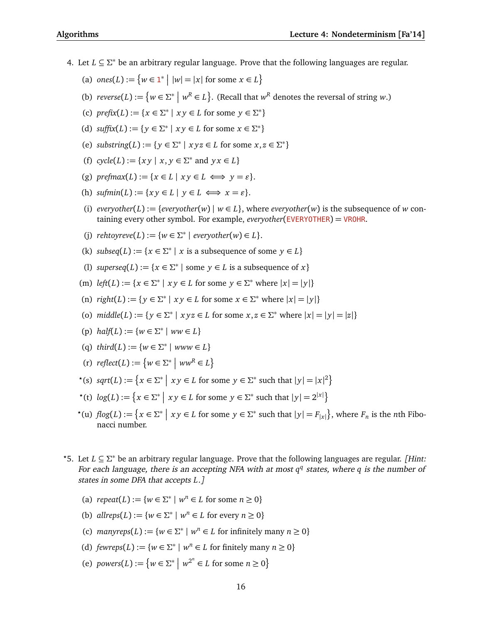- 4. Let *L* ⊆ *Σ* <sup>∗</sup> be an arbitrary regular language. Prove that the following languages are regular.
	- (a)  $ones(L) := \{ w \in \mathbb{1}^* \mid |w| = |x| \text{ for some } x \in L \}$
	- (b)  $reverse(L) := \{ w \in \Sigma^* \mid w^R \in L \}.$  (Recall that  $w^R$  denotes the reversal of string *w*.)
	- (c)  $\text{prefix}(L) := \{x \in \Sigma^* \mid xy \in L \text{ for some } y \in \Sigma^*\}$
	- (d)  $\text{suffix}(L) := \{ y \in \Sigma^* \mid xy \in L \text{ for some } x \in \Sigma^* \}$
	- (e) *substring*(*L*) := { $y \in \Sigma^*$  |  $xyz \in L$  for some  $x, z \in \Sigma^*$ }
	- (f)  $cycle(L) := \{ xy \mid x, y \in \Sigma^* \text{ and } yx \in L \}$
	- (g) *prefmax* $(L) := \{x \in L \mid x \vee y \in L \iff y = \varepsilon\}.$
	- (h)  $\text{sum}(L) := \{xy \in L \mid y \in L \iff x = \varepsilon\}.$
	- (i)  $\text{everyother}(L) := \{ \text{everyother}(w) \mid w \in L \}, \text{where } \text{everyother}(w) \text{ is the subsequence of } w \text{ continuous.}$ taining every other symbol. For example, *everyother*(EVERYOTHER) = VROHR.
	- (j)  $rehtoyreve(L) := \{w \in \Sigma^* \mid everyother(w) \in L\}.$
	- (k) *subseq*(*L*) := { $x \in \Sigma^*$  | *x* is a subsequence of some  $y \in L$ }
	- (l) *superseq*(*L*) := { $x \in \Sigma^*$  | some  $y \in L$  is a subsequence of  $x$ }
	- (m)  $left(L) := \{x \in \Sigma^* \mid xy \in L \text{ for some } y \in \Sigma^* \text{ where } |x| = |y|\}$
	- (n)  $\text{right}(L) := \{ y \in \Sigma^* \mid xy \in L \text{ for some } x \in \Sigma^* \text{ where } |x| = |y| \}$
	- (o)  $middle(L) := \{ y \in \Sigma^* \mid xyz \in L \text{ for some } x, z \in \Sigma^* \text{ where } |x| = |y| = |z| \}$
	- (p)  $half(L) := \{w \in \Sigma^* \mid ww \in L\}$
	- (q)  $third(L) := \{w \in \Sigma^* \mid www \in L\}$
	- $(r)$   $reflect(L) := \{ w \in \Sigma^* \mid ww^R \in L \}$
	- $\mathcal{P}^*(s)$  *sqrt*(*L*) :=  $\{x \in \Sigma^* \mid xy \in L \text{ for some } y \in \Sigma^* \text{ such that } |y| = |x|^2\}$
	- $\mathcal{X}^*(t) \log(L) := \left\{ x \in \Sigma^* \mid xy \in L \text{ for some } y \in \Sigma^* \text{ such that } |y| = 2^{|x|} \right\}$
	- $\mathcal{P}^*(u) \text{ } flog(L) := \left\{ x \in \Sigma^* \mid x y \in L \text{ for some } y \in \Sigma^* \text{ such that } |y| = F_{|x|} \right\}, \text{ where } F_n \text{ is the } n \text{th Fibonacci } F_n \text{ is the } n \text{th畜 } F_n.$ nacci number.
- *?*5. Let *L* ⊆ *Σ* <sup>∗</sup> be an arbitrary regular language. Prove that the following languages are regular. [Hint: For each language, there is an accepting NFA with at most  $q<sup>q</sup>$  states, where q is the number of states in some DFA that accepts *L*.]
	- (a)  $\text{repeat}(L) := \{ w \in \Sigma^* \mid w^n \in L \text{ for some } n \ge 0 \}$
	- (b)  $allreps(L) := \{w \in \Sigma^* \mid w^n \in L \text{ for every } n \ge 0\}$
	- (c)  $manyreps(L) := \{w \in \Sigma^* \mid w^n \in L \text{ for infinitely many } n \ge 0\}$
	- (d)  $fewreps(L) := \{w \in \Sigma^* \mid w^n \in L \text{ for finitely many } n \ge 0\}$
	- (e) *powers*(*L*) := { $w \in \Sigma^* \mid w^{2^n} \in L$  for some  $n \ge 0$ }